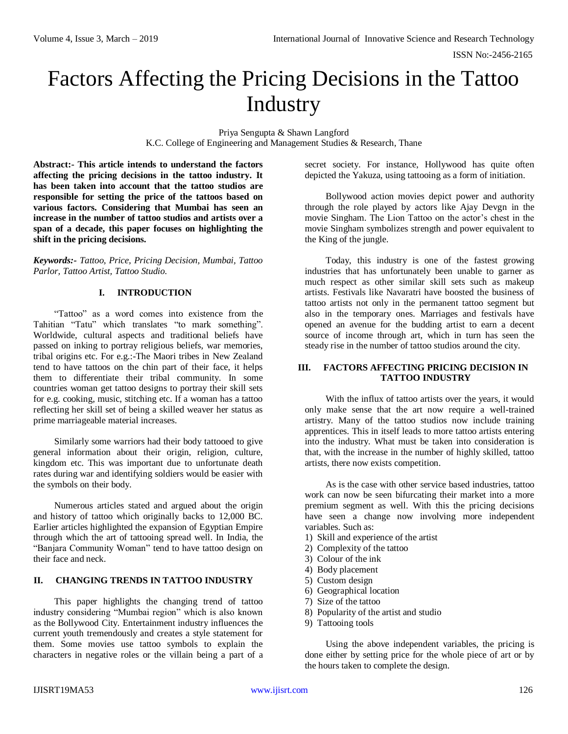# Factors Affecting the Pricing Decisions in the Tattoo Industry

Priya Sengupta & Shawn Langford K.C. College of Engineering and Management Studies & Research, Thane

**Abstract:- This article intends to understand the factors affecting the pricing decisions in the tattoo industry. It has been taken into account that the tattoo studios are responsible for setting the price of the tattoos based on various factors. Considering that Mumbai has seen an increase in the number of tattoo studios and artists over a span of a decade, this paper focuses on highlighting the shift in the pricing decisions.**

*Keywords:- Tattoo, Price, Pricing Decision, Mumbai, Tattoo Parlor, Tattoo Artist, Tattoo Studio.*

# **I. INTRODUCTION**

"Tattoo" as a word comes into existence from the Tahitian "Tatu" which translates "to mark something". Worldwide, cultural aspects and traditional beliefs have passed on inking to portray religious beliefs, war memories, tribal origins etc. For e.g.:-The Maori tribes in New Zealand tend to have tattoos on the chin part of their face, it helps them to differentiate their tribal community. In some countries woman get tattoo designs to portray their skill sets for e.g. cooking, music, stitching etc. If a woman has a tattoo reflecting her skill set of being a skilled weaver her status as prime marriageable material increases.

Similarly some warriors had their body tattooed to give general information about their origin, religion, culture, kingdom etc. This was important due to unfortunate death rates during war and identifying soldiers would be easier with the symbols on their body.

Numerous articles stated and argued about the origin and history of tattoo which originally backs to 12,000 BC. Earlier articles highlighted the expansion of Egyptian Empire through which the art of tattooing spread well. In India, the "Banjara Community Woman" tend to have tattoo design on their face and neck.

# **II. CHANGING TRENDS IN TATTOO INDUSTRY**

This paper highlights the changing trend of tattoo industry considering "Mumbai region" which is also known as the Bollywood City. Entertainment industry influences the current youth tremendously and creates a style statement for them. Some movies use tattoo symbols to explain the characters in negative roles or the villain being a part of a secret society. For instance, Hollywood has quite often depicted the Yakuza, using tattooing as a form of initiation.

Bollywood action movies depict power and authority through the role played by actors like Ajay Devgn in the movie Singham. The Lion Tattoo on the actor's chest in the movie Singham symbolizes strength and power equivalent to the King of the jungle.

Today, this industry is one of the fastest growing industries that has unfortunately been unable to garner as much respect as other similar skill sets such as makeup artists. Festivals like Navaratri have boosted the business of tattoo artists not only in the permanent tattoo segment but also in the temporary ones. Marriages and festivals have opened an avenue for the budding artist to earn a decent source of income through art, which in turn has seen the steady rise in the number of tattoo studios around the city.

### **III. FACTORS AFFECTING PRICING DECISION IN TATTOO INDUSTRY**

With the influx of tattoo artists over the years, it would only make sense that the art now require a well-trained artistry. Many of the tattoo studios now include training apprentices. This in itself leads to more tattoo artists entering into the industry. What must be taken into consideration is that, with the increase in the number of highly skilled, tattoo artists, there now exists competition.

As is the case with other service based industries, tattoo work can now be seen bifurcating their market into a more premium segment as well. With this the pricing decisions have seen a change now involving more independent variables. Such as:

- 1) Skill and experience of the artist
- 2) Complexity of the tattoo
- 3) Colour of the ink
- 4) Body placement
- 5) Custom design
- 6) Geographical location
- 7) Size of the tattoo
- 8) Popularity of the artist and studio
- 9) Tattooing tools

Using the above independent variables, the pricing is done either by setting price for the whole piece of art or by the hours taken to complete the design.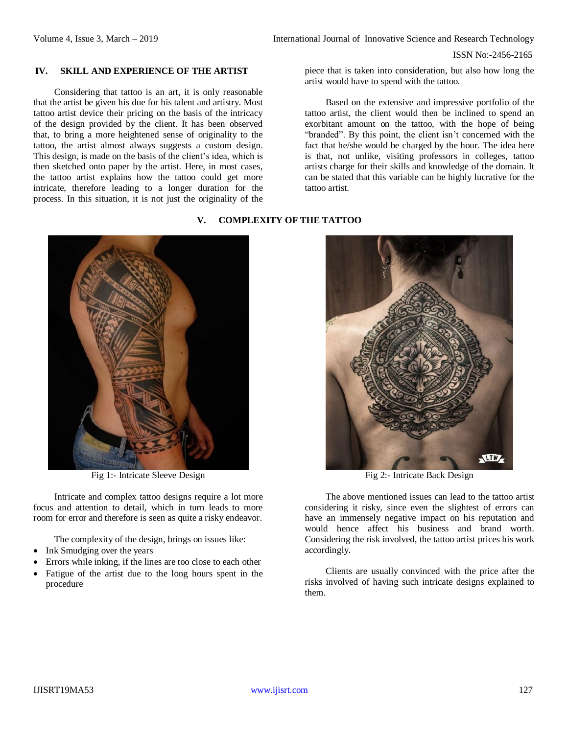# **IV. SKILL AND EXPERIENCE OF THE ARTIST**

Considering that tattoo is an art, it is only reasonable that the artist be given his due for his talent and artistry. Most tattoo artist device their pricing on the basis of the intricacy of the design provided by the client. It has been observed that, to bring a more heightened sense of originality to the tattoo, the artist almost always suggests a custom design. This design, is made on the basis of the client's idea, which is then sketched onto paper by the artist. Here, in most cases, the tattoo artist explains how the tattoo could get more intricate, therefore leading to a longer duration for the process. In this situation, it is not just the originality of the

piece that is taken into consideration, but also how long the artist would have to spend with the tattoo.

Based on the extensive and impressive portfolio of the tattoo artist, the client would then be inclined to spend an exorbitant amount on the tattoo, with the hope of being "branded". By this point, the client isn't concerned with the fact that he/she would be charged by the hour. The idea here is that, not unlike, visiting professors in colleges, tattoo artists charge for their skills and knowledge of the domain. It can be stated that this variable can be highly lucrative for the tattoo artist.

## **V. COMPLEXITY OF THE TATTOO**



Fig 1:- Intricate Sleeve Design Fig 2:- Intricate Back Design

Intricate and complex tattoo designs require a lot more focus and attention to detail, which in turn leads to more room for error and therefore is seen as quite a risky endeavor.

The complexity of the design, brings on issues like:

- Ink Smudging over the years
- Errors while inking, if the lines are too close to each other
- Fatigue of the artist due to the long hours spent in the procedure



The above mentioned issues can lead to the tattoo artist considering it risky, since even the slightest of errors can have an immensely negative impact on his reputation and would hence affect his business and brand worth. Considering the risk involved, the tattoo artist prices his work accordingly.

Clients are usually convinced with the price after the risks involved of having such intricate designs explained to them.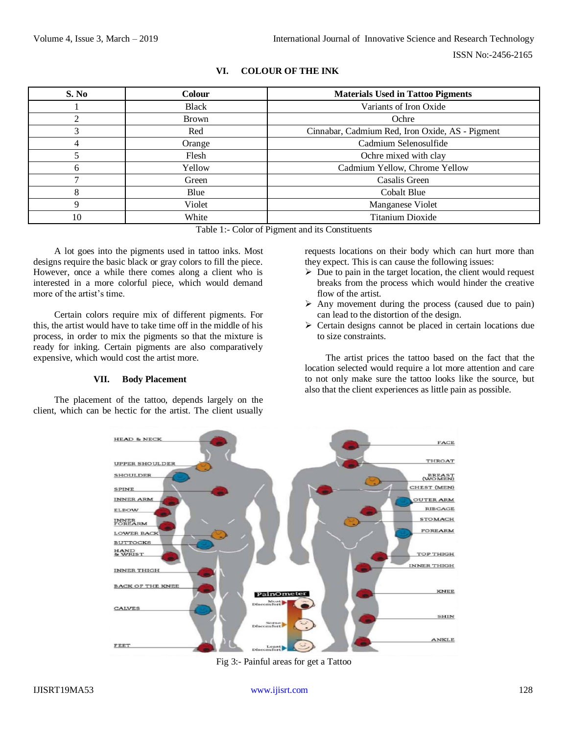| S. No | <b>Colour</b> | <b>Materials Used in Tattoo Pigments</b>        |  |
|-------|---------------|-------------------------------------------------|--|
|       | <b>Black</b>  | Variants of Iron Oxide                          |  |
|       | <b>Brown</b>  | Ochre                                           |  |
|       | Red           | Cinnabar, Cadmium Red, Iron Oxide, AS - Pigment |  |
| 4     | Orange        | Cadmium Selenosulfide                           |  |
|       | Flesh         | Ochre mixed with clay                           |  |
| h     | Yellow        | Cadmium Yellow, Chrome Yellow                   |  |
|       | Green         | Casalis Green                                   |  |
| 8     | Blue          | Cobalt Blue                                     |  |
| 9     | Violet        | Manganese Violet                                |  |
| 10    | White         | <b>Titanium Dioxide</b>                         |  |

# **VI. COLOUR OF THE INK**

Table 1:- Color of Pigment and its Constituents

A lot goes into the pigments used in tattoo inks. Most designs require the basic black or gray colors to fill the piece. However, once a while there comes along a client who is interested in a more colorful piece, which would demand more of the artist's time.

Certain colors require mix of different pigments. For this, the artist would have to take time off in the middle of his process, in order to mix the pigments so that the mixture is ready for inking. Certain pigments are also comparatively expensive, which would cost the artist more.

#### **VII. Body Placement**

The placement of the tattoo, depends largely on the client, which can be hectic for the artist. The client usually

requests locations on their body which can hurt more than they expect. This is can cause the following issues:

- $\triangleright$  Due to pain in the target location, the client would request breaks from the process which would hinder the creative flow of the artist.
- $\triangleright$  Any movement during the process (caused due to pain) can lead to the distortion of the design.
- $\triangleright$  Certain designs cannot be placed in certain locations due to size constraints.

The artist prices the tattoo based on the fact that the location selected would require a lot more attention and care to not only make sure the tattoo looks like the source, but also that the client experiences as little pain as possible.



Fig 3:- Painful areas for get a Tattoo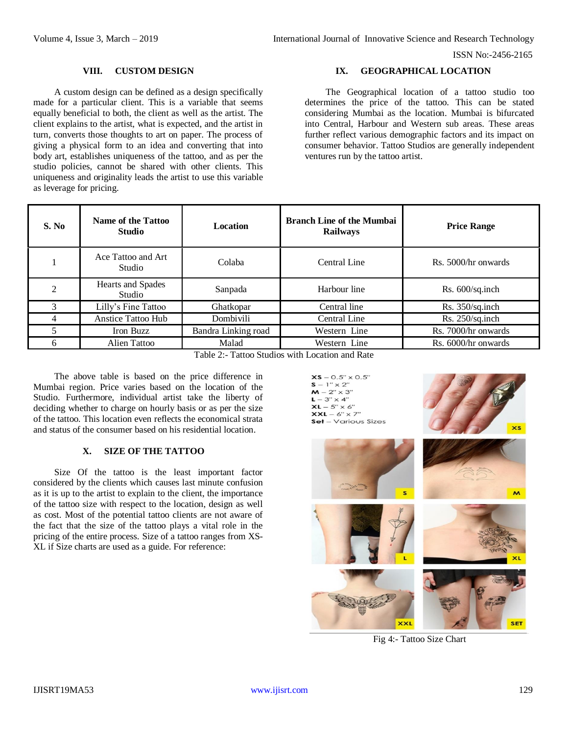# **VIII. CUSTOM DESIGN**

A custom design can be defined as a design specifically made for a particular client. This is a variable that seems equally beneficial to both, the client as well as the artist. The client explains to the artist, what is expected, and the artist in turn, converts those thoughts to art on paper. The process of giving a physical form to an idea and converting that into body art, establishes uniqueness of the tattoo, and as per the studio policies, cannot be shared with other clients. This uniqueness and originality leads the artist to use this variable as leverage for pricing.

# **IX. GEOGRAPHICAL LOCATION**

The Geographical location of a tattoo studio too determines the price of the tattoo. This can be stated considering Mumbai as the location. Mumbai is bifurcated into Central, Harbour and Western sub areas. These areas further reflect various demographic factors and its impact on consumer behavior. Tattoo Studios are generally independent ventures run by the tattoo artist.

| S. No | Name of the Tattoo<br><b>Studio</b> | <b>Location</b>     | <b>Branch Line of the Mumbai</b><br><b>Railways</b> | <b>Price Range</b>  |
|-------|-------------------------------------|---------------------|-----------------------------------------------------|---------------------|
|       | Ace Tattoo and Art<br>Studio        | Colaba              | Central Line                                        | Rs. 5000/hr onwards |
| ↑     | Hearts and Spades<br>Studio         | Sanpada             | Harbour line                                        | Rs. 600/sq.inch     |
| 3     | Lilly's Fine Tattoo                 | Ghatkopar           | Central line                                        | Rs. 350/sq.inch     |
|       | Anstice Tattoo Hub                  | Dombivili           | Central Line                                        | Rs. 250/sq.inch     |
|       | Iron Buzz                           | Bandra Linking road | Western Line                                        | Rs. 7000/hr onwards |
| 6     | Alien Tattoo                        | Malad               | Western Line                                        | Rs. 6000/hr onwards |

Table 2:- Tattoo Studios with Location and Rate

The above table is based on the price difference in Mumbai region. Price varies based on the location of the Studio. Furthermore, individual artist take the liberty of deciding whether to charge on hourly basis or as per the size of the tattoo. This location even reflects the economical strata and status of the consumer based on his residential location.

### **X. SIZE OF THE TATTOO**

Size Of the tattoo is the least important factor considered by the clients which causes last minute confusion as it is up to the artist to explain to the client, the importance of the tattoo size with respect to the location, design as well as cost. Most of the potential tattoo clients are not aware of the fact that the size of the tattoo plays a vital role in the pricing of the entire process. Size of a tattoo ranges from XS-XL if Size charts are used as a guide. For reference:

 $XS - 0.5" \times 0.5"$  $S - 1'' \times 2''$  $M - 2'' \times 3''$  $L - 3'' \times 4''$  $XL - 5" \times 6"$  $XXL - 6" \times 7"$ Set – Various Sizes





Fig 4:- Tattoo Size Chart